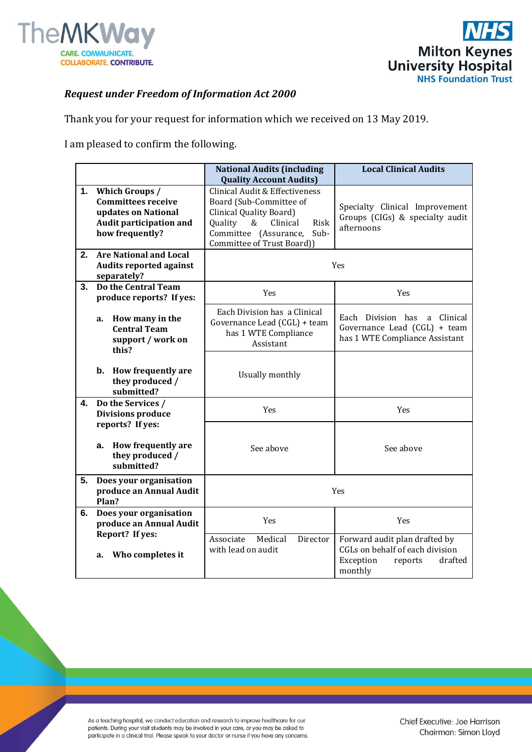



## *Request under Freedom of Information Act 2000*

Thank you for your request for information which we received on 13 May 2019.

I am pleased to confirm the following.

|    |                                                                                                                  | <b>National Audits (including</b><br><b>Quality Account Audits)</b>                                                                                                                        | <b>Local Clinical Audits</b>                                                                                   |
|----|------------------------------------------------------------------------------------------------------------------|--------------------------------------------------------------------------------------------------------------------------------------------------------------------------------------------|----------------------------------------------------------------------------------------------------------------|
| 1. | Which Groups /<br><b>Committees receive</b><br>updates on National<br>Audit participation and<br>how frequently? | Clinical Audit & Effectiveness<br>Board (Sub-Committee of<br>Clinical Quality Board)<br>$\&$<br>Clinical<br>Quality<br>Risk<br>Committee (Assurance,<br>Sub-<br>Committee of Trust Board)) | Specialty Clinical Improvement<br>Groups (CIGs) & specialty audit<br>afternoons                                |
| 2. | <b>Are National and Local</b><br><b>Audits reported against</b><br>separately?                                   | Yes                                                                                                                                                                                        |                                                                                                                |
| 3. | Do the Central Team<br>produce reports? If yes:                                                                  | Yes                                                                                                                                                                                        | Yes                                                                                                            |
|    | How many in the<br>a.<br><b>Central Team</b><br>support / work on<br>this?                                       | Each Division has a Clinical<br>Governance Lead (CGL) + team<br>has 1 WTE Compliance<br>Assistant                                                                                          | Each Division has<br>a Clinical<br>Governance Lead (CGL) + team<br>has 1 WTE Compliance Assistant              |
|    | <b>How frequently are</b><br>b.<br>they produced /<br>submitted?                                                 | Usually monthly                                                                                                                                                                            |                                                                                                                |
| 4. | Do the Services /<br><b>Divisions produce</b>                                                                    | Yes                                                                                                                                                                                        | Yes                                                                                                            |
|    | reports? If yes:<br>How frequently are<br>a.<br>they produced /<br>submitted?                                    | See above                                                                                                                                                                                  | See above                                                                                                      |
| 5. | Does your organisation<br>produce an Annual Audit<br>Plan?                                                       | Yes                                                                                                                                                                                        |                                                                                                                |
| 6. | Does your organisation<br>produce an Annual Audit                                                                | Yes                                                                                                                                                                                        | Yes                                                                                                            |
|    | Report? If yes:<br>Who completes it<br>a.                                                                        | Medical<br>Associate<br>Director<br>with lead on audit                                                                                                                                     | Forward audit plan drafted by<br>CGLs on behalf of each division<br>Exception<br>drafted<br>reports<br>monthly |